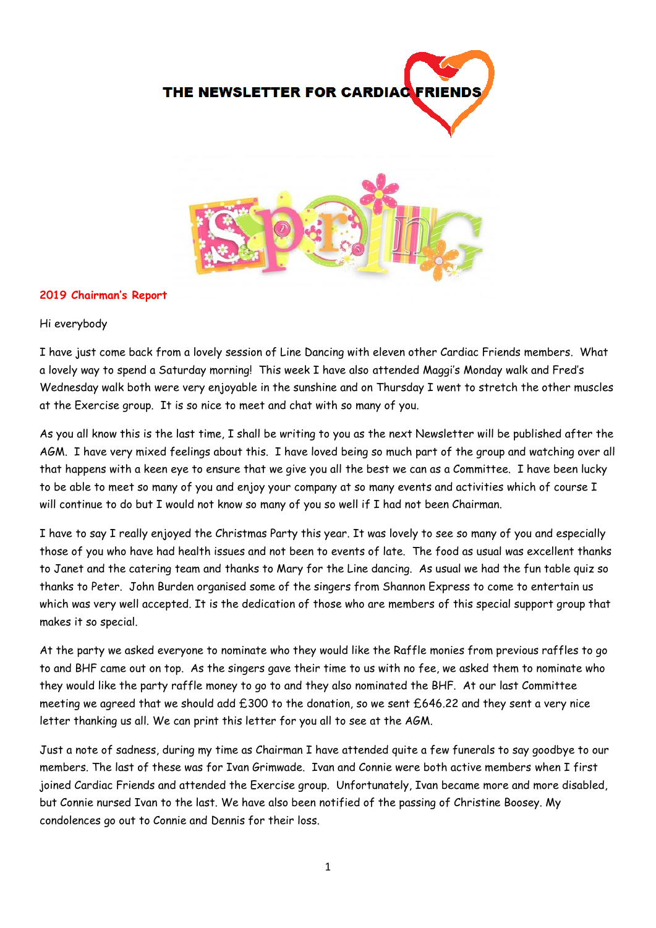THE NEWSLETTER FOR CARDIAC

#### **2019 Chairman's Report**

Hi everybody

I have just come back from a lovely session of Line Dancing with eleven other Cardiac Friends members. What a lovely way to spend a Saturday morning! This week I have also attended Maggi's Monday walk and Fred's Wednesday walk both were very enjoyable in the sunshine and on Thursday I went to stretch the other muscles at the Exercise group. It is so nice to meet and chat with so many of you.

As you all know this is the last time, I shall be writing to you as the next Newsletter will be published after the AGM. I have very mixed feelings about this. I have loved being so much part of the group and watching over all that happens with a keen eye to ensure that we give you all the best we can as a Committee. I have been lucky to be able to meet so many of you and enjoy your company at so many events and activities which of course I will continue to do but I would not know so many of you so well if I had not been Chairman.

I have to say I really enjoyed the Christmas Party this year. It was lovely to see so many of you and especially those of you who have had health issues and not been to events of late. The food as usual was excellent thanks to Janet and the catering team and thanks to Mary for the Line dancing. As usual we had the fun table quiz so thanks to Peter. John Burden organised some of the singers from Shannon Express to come to entertain us which was very well accepted. It is the dedication of those who are members of this special support group that makes it so special.

At the party we asked everyone to nominate who they would like the Raffle monies from previous raffles to go to and BHF came out on top. As the singers gave their time to us with no fee, we asked them to nominate who they would like the party raffle money to go to and they also nominated the BHF. At our last Committee meeting we agreed that we should add £300 to the donation, so we sent £646.22 and they sent a very nice letter thanking us all. We can print this letter for you all to see at the AGM.

Just a note of sadness, during my time as Chairman I have attended quite a few funerals to say goodbye to our members. The last of these was for Ivan Grimwade. Ivan and Connie were both active members when I first joined Cardiac Friends and attended the Exercise group. Unfortunately, Ivan became more and more disabled, but Connie nursed Ivan to the last. We have also been notified of the passing of Christine Boosey. My condolences go out to Connie and Dennis for their loss.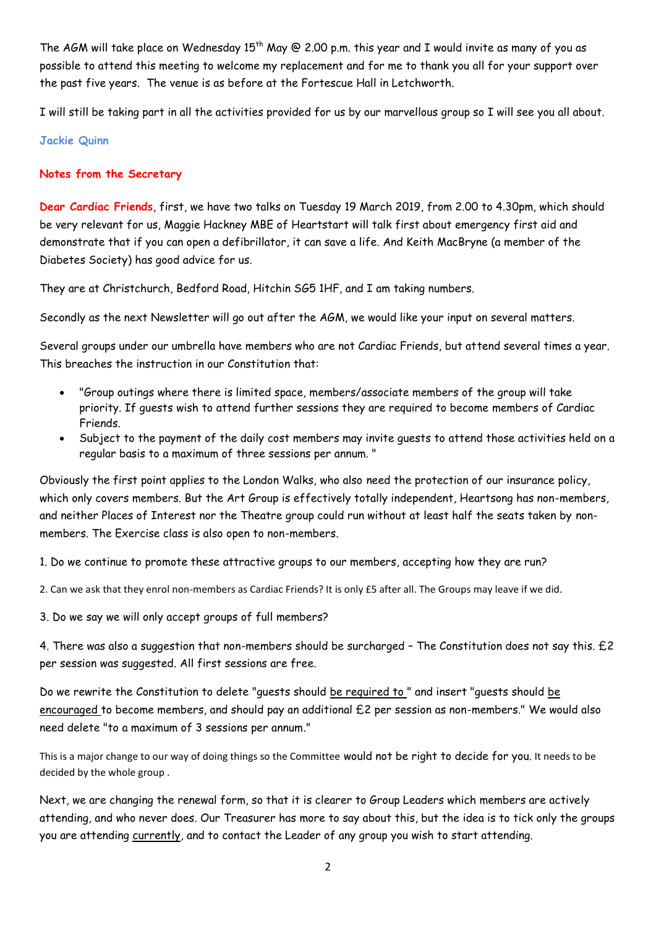The AGM will take place on Wednesday  $15^{th}$  May @ 2.00 p.m. this year and I would invite as many of you as possible to attend this meeting to welcome my replacement and for me to thank you all for your support over the past five years. The venue is as before at the Fortescue Hall in Letchworth.

I will still be taking part in all the activities provided for us by our marvellous group so I will see you all about.

## **Jackie Quinn**

# **Notes from the Secretary**

**Dear Cardiac Friends**, first, we have two talks on Tuesday 19 March 2019, from 2.00 to 4.30pm, which should be very relevant for us, Maggie Hackney MBE of Heartstart will talk first about emergency first aid and demonstrate that if you can open a defibrillator, it can save a life. And Keith MacBryne (a member of the Diabetes Society) has good advice for us.

They are at Christchurch, Bedford Road, Hitchin SG5 1HF, and I am taking numbers.

Secondly as the next Newsletter will go out after the AGM, we would like your input on several matters.

Several groups under our umbrella have members who are not Cardiac Friends, but attend several times a year. This breaches the instruction in our Constitution that:

- "Group outings where there is limited space, members/associate members of the group will take priority. If guests wish to attend further sessions they are required to become members of Cardiac Friends.
- Subject to the payment of the daily cost members may invite guests to attend those activities held on a regular basis to a maximum of three sessions per annum. "

Obviously the first point applies to the London Walks, who also need the protection of our insurance policy, which only covers members. But the Art Group is effectively totally independent, Heartsong has non-members, and neither Places of Interest nor the Theatre group could run without at least half the seats taken by nonmembers. The Exercise class is also open to non-members.

1. Do we continue to promote these attractive groups to our members, accepting how they are run?

2. Can we ask that they enrol non-members as Cardiac Friends? It is only £5 after all. The Groups may leave if we did.

3. Do we say we will only accept groups of full members?

4. There was also a suggestion that non-members should be surcharged – The Constitution does not say this. £2 per session was suggested. All first sessions are free.

Do we rewrite the Constitution to delete "guests should be required to " and insert "guests should be encouraged to become members, and should pay an additional £2 per session as non-members." We would also need delete "to a maximum of 3 sessions per annum."

This is a major change to our way of doing things so the Committee would not be right to decide for you. It needs to be decided by the whole group .

Next, we are changing the renewal form, so that it is clearer to Group Leaders which members are actively attending, and who never does. Our Treasurer has more to say about this, but the idea is to tick only the groups you are attending currently, and to contact the Leader of any group you wish to start attending.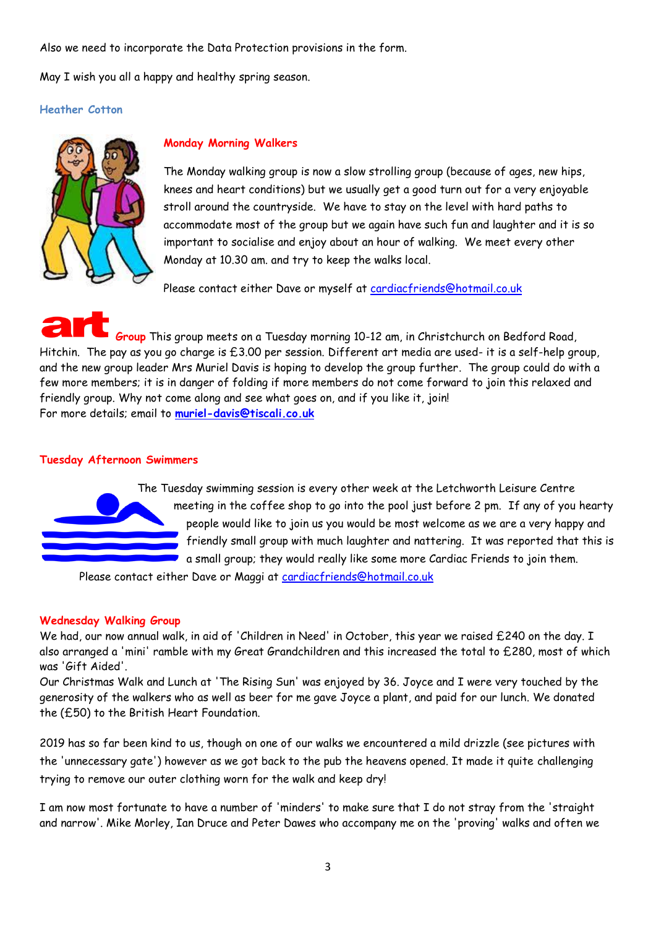Also we need to incorporate the Data Protection provisions in the form.

May I wish you all a happy and healthy spring season.

## **Heather Cotton**



# **Monday Morning Walkers**

The Monday walking group is now a slow strolling group (because of ages, new hips, knees and heart conditions) but we usually get a good turn out for a very enjoyable stroll around the countryside. We have to stay on the level with hard paths to accommodate most of the group but we again have such fun and laughter and it is so important to socialise and enjoy about an hour of walking. We meet every other Monday at 10.30 am. and try to keep the walks local.

Please contact either Dave or myself at [cardiacfriends@hotmail.co.uk](mailto:cardiacfriends@hotmail.co.uk)

**Group** This group meets on a Tuesday morning 10-12 am, in Christchurch on Bedford Road, Hitchin. The pay as you go charge is £3.00 per session. Different art media are used- it is a self-help group, and the new group leader Mrs Muriel Davis is hoping to develop the group further. The group could do with a few more members; it is in danger of folding if more members do not come forward to join this relaxed and friendly group. Why not come along and see what goes on, and if you like it, join! For more details; email to **[muriel-davis@tiscali.co.uk](mailto:muriel-davis@tiscali.co.uk)**

#### **Tuesday Afternoon Swimmers**



The Tuesday swimming session is every other week at the Letchworth Leisure Centre meeting in the coffee shop to go into the pool just before 2 pm. If any of you hearty people would like to join us you would be most welcome as we are a very happy and friendly small group with much laughter and nattering. It was reported that this is a small group; they would really like some more Cardiac Friends to join them.

Please contact either Dave or Maggi at [cardiacfriends@hotmail.co.uk](mailto:cardiacfriends@hotmail.co.uk)

# **Wednesday Walking Group**

We had, our now annual walk, in aid of 'Children in Need' in October, this year we raised £240 on the day. I also arranged a 'mini' ramble with my Great Grandchildren and this increased the total to £280, most of which was 'Gift Aided'.

Our Christmas Walk and Lunch at 'The Rising Sun' was enjoyed by 36. Joyce and I were very touched by the generosity of the walkers who as well as beer for me gave Joyce a plant, and paid for our lunch. We donated the (£50) to the British Heart Foundation.

2019 has so far been kind to us, though on one of our walks we encountered a mild drizzle (see pictures with the 'unnecessary gate') however as we got back to the pub the heavens opened. It made it quite challenging trying to remove our outer clothing worn for the walk and keep dry!

I am now most fortunate to have a number of 'minders' to make sure that I do not stray from the 'straight and narrow'. Mike Morley, Ian Druce and Peter Dawes who accompany me on the 'proving' walks and often we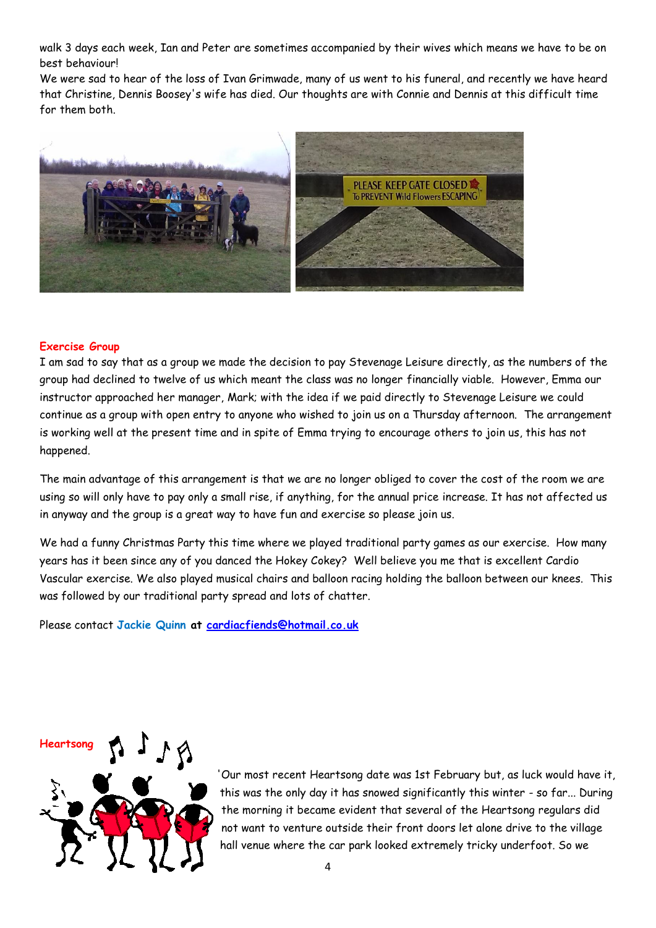walk 3 days each week, Ian and Peter are sometimes accompanied by their wives which means we have to be on best behaviour!

We were sad to hear of the loss of Ivan Grimwade, many of us went to his funeral, and recently we have heard that Christine, Dennis Boosey's wife has died. Our thoughts are with Connie and Dennis at this difficult time for them both.



#### **Exercise Group**

I am sad to say that as a group we made the decision to pay Stevenage Leisure directly, as the numbers of the group had declined to twelve of us which meant the class was no longer financially viable. However, Emma our instructor approached her manager, Mark; with the idea if we paid directly to Stevenage Leisure we could continue as a group with open entry to anyone who wished to join us on a Thursday afternoon. The arrangement is working well at the present time and in spite of Emma trying to encourage others to join us, this has not happened.

The main advantage of this arrangement is that we are no longer obliged to cover the cost of the room we are using so will only have to pay only a small rise, if anything, for the annual price increase. It has not affected us in anyway and the group is a great way to have fun and exercise so please join us.

We had a funny Christmas Party this time where we played traditional party games as our exercise. How many years has it been since any of you danced the Hokey Cokey? Well believe you me that is excellent Cardio Vascular exercise. We also played musical chairs and balloon racing holding the balloon between our knees. This was followed by our traditional party spread and lots of chatter.

Please contact **Jackie Quinn at [cardiacfiends@hotmail.co.uk](mailto:cardiacfiends@hotmail.co.uk)**



'Our most recent Heartsong date was 1st February but, as luck would have it, this was the only day it has snowed significantly this winter - so far... During the morning it became evident that several of the Heartsong regulars did not want to venture outside their front doors let alone drive to the village hall venue where the car park looked extremely tricky underfoot. So we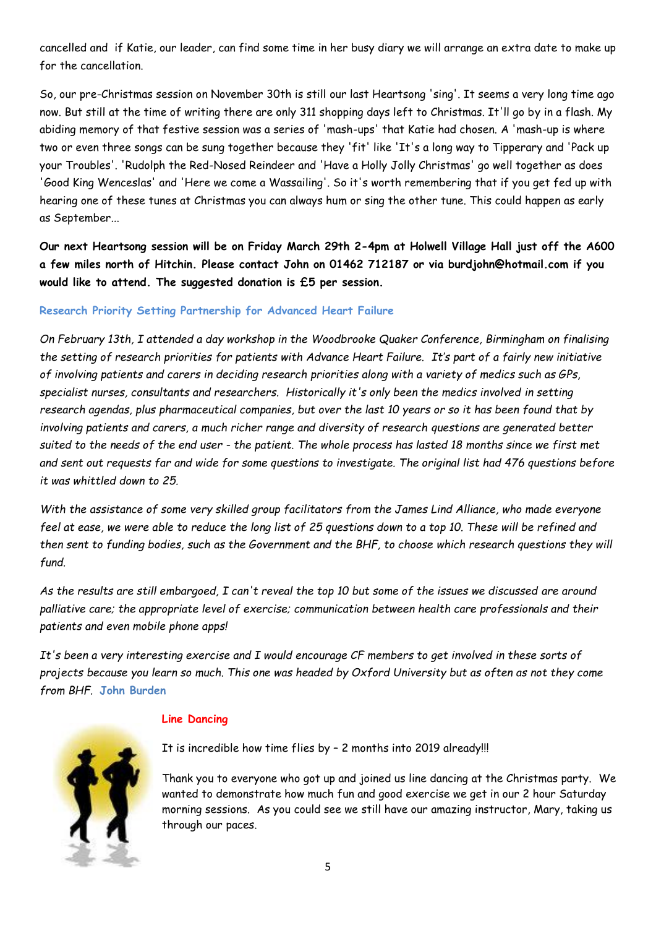cancelled and if Katie, our leader, can find some time in her busy diary we will arrange an extra date to make up for the cancellation.

So, our pre-Christmas session on November 30th is still our last Heartsong 'sing'. It seems a very long time ago now. But still at the time of writing there are only 311 shopping days left to Christmas. It'll go by in a flash. My abiding memory of that festive session was a series of 'mash-ups' that Katie had chosen. A 'mash-up is where two or even three songs can be sung together because they 'fit' like 'It's a long way to Tipperary and 'Pack up your Troubles'. 'Rudolph the Red-Nosed Reindeer and 'Have a Holly Jolly Christmas' go well together as does 'Good King Wenceslas' and 'Here we come a Wassailing'. So it's worth remembering that if you get fed up with hearing one of these tunes at Christmas you can always hum or sing the other tune. This could happen as early as September...

**Our next Heartsong session will be on Friday March 29th 2-4pm at Holwell Village Hall just off the A600 a few miles north of Hitchin. Please contact John on 01462 712187 or via burdjohn@hotmail.com if you would like to attend. The suggested donation is £5 per session.**

## **Research Priority Setting Partnership for Advanced Heart Failure**

*On February 13th, I attended a day workshop in the Woodbrooke Quaker Conference, Birmingham on finalising the setting of research priorities for patients with Advance Heart Failure. It's part of a fairly new initiative of involving patients and carers in deciding research priorities along with a variety of medics such as GPs, specialist nurses, consultants and researchers. Historically it's only been the medics involved in setting research agendas, plus pharmaceutical companies, but over the last 10 years or so it has been found that by involving patients and carers, a much richer range and diversity of research questions are generated better suited to the needs of the end user - the patient. The whole process has lasted 18 months since we first met and sent out requests far and wide for some questions to investigate. The original list had 476 questions before it was whittled down to 25.*

*With the assistance of some very skilled group facilitators from the James Lind Alliance, who made everyone feel at ease, we were able to reduce the long list of 25 questions down to a top 10. These will be refined and then sent to funding bodies, such as the Government and the BHF, to choose which research questions they will fund.*

*As the results are still embargoed, I can't reveal the top 10 but some of the issues we discussed are around palliative care; the appropriate level of exercise; communication between health care professionals and their patients and even mobile phone apps!*

*It's been a very interesting exercise and I would encourage CF members to get involved in these sorts of projects because you learn so much. This one was headed by Oxford University but as often as not they come from BHF.* **John Burden**

# **Line Dancing**

It is incredible how time flies by – 2 months into 2019 already!!!

Thank you to everyone who got up and joined us line dancing at the Christmas party. We wanted to demonstrate how much fun and good exercise we get in our 2 hour Saturday morning sessions. As you could see we still have our amazing instructor, Mary, taking us through our paces.

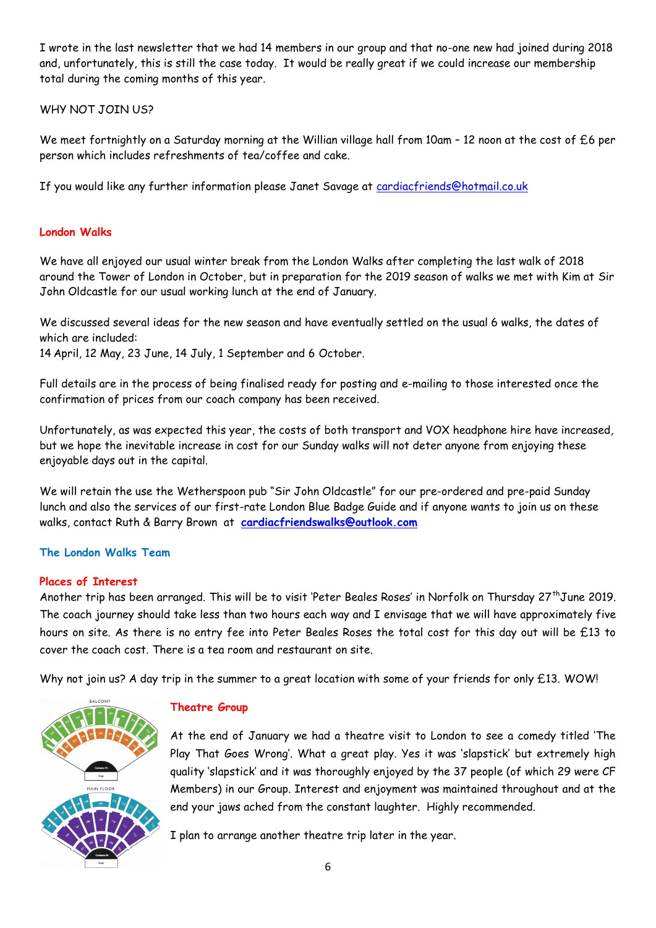I wrote in the last newsletter that we had 14 members in our group and that no-one new had joined during 2018 and, unfortunately, this is still the case today. It would be really great if we could increase our membership total during the coming months of this year.

WHY NOT JOIN US?

We meet fortnightly on a Saturday morning at the Willian village hall from 10am - 12 noon at the cost of £6 per person which includes refreshments of tea/coffee and cake.

If you would like any further information please Janet Savage at [cardiacfriends@hotmail.co.uk](mailto:cardiacfriends@hotmail.co.uk)

# **London Walks**

We have all enjoyed our usual winter break from the London Walks after completing the last walk of 2018 around the Tower of London in October, but in preparation for the 2019 season of walks we met with Kim at Sir John Oldcastle for our usual working lunch at the end of January.

We discussed several ideas for the new season and have eventually settled on the usual 6 walks, the dates of which are included:

14 April, 12 May, 23 June, 14 July, 1 September and 6 October.

Full details are in the process of being finalised ready for posting and e-mailing to those interested once the confirmation of prices from our coach company has been received.

Unfortunately, as was expected this year, the costs of both transport and VOX headphone hire have increased, but we hope the inevitable increase in cost for our Sunday walks will not deter anyone from enjoying these enjoyable days out in the capital.

We will retain the use the Wetherspoon pub "Sir John Oldcastle" for our pre-ordered and pre-paid Sunday lunch and also the services of our first-rate London Blue Badge Guide and if anyone wants to join us on these walks, contact Ruth & Barry Brown at **[cardiacfriendswalks@outlook.com](mailto:cardiacfriendswalks@outlook.com)**

# **The London Walks Team**

# **Places of Interest**

Another trip has been arranged. This will be to visit 'Peter Beales Roses' in Norfolk on Thursday 27<sup>th</sup>June 2019. The coach journey should take less than two hours each way and I envisage that we will have approximately five hours on site. As there is no entry fee into Peter Beales Roses the total cost for this day out will be £13 to cover the coach cost. There is a tea room and restaurant on site.

Why not join us? A day trip in the summer to a great location with some of your friends for only £13. WOW!



# **Theatre Group**

At the end of January we had a theatre visit to London to see a comedy titled 'The Play That Goes Wrong'. What a great play. Yes it was 'slapstick' but extremely high quality 'slapstick' and it was thoroughly enjoyed by the 37 people (of which 29 were CF Members) in our Group. Interest and enjoyment was maintained throughout and at the end your jaws ached from the constant laughter. Highly recommended.

I plan to arrange another theatre trip later in the year.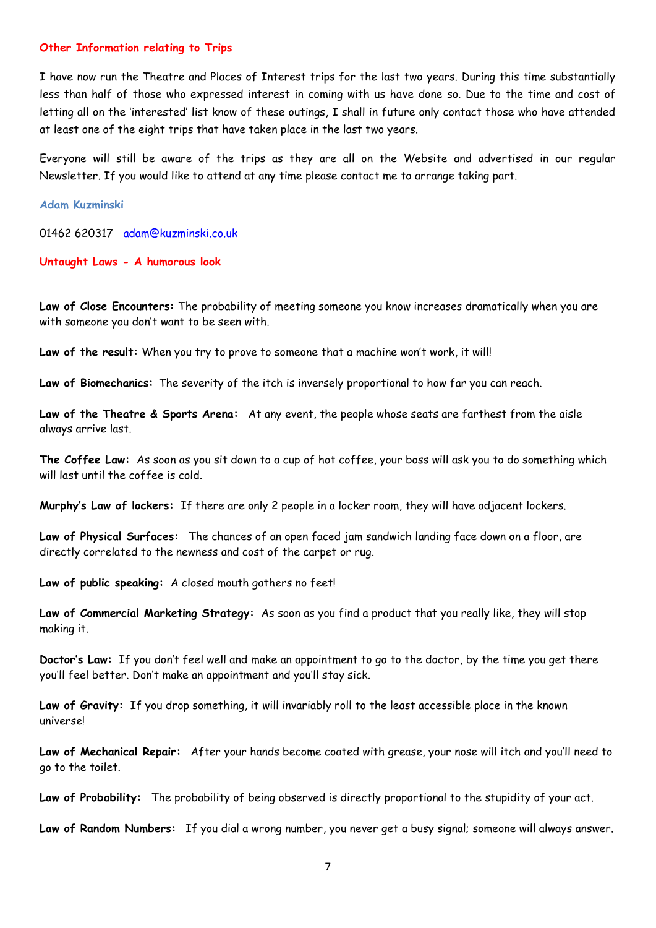#### **Other Information relating to Trips**

I have now run the Theatre and Places of Interest trips for the last two years. During this time substantially less than half of those who expressed interest in coming with us have done so. Due to the time and cost of letting all on the 'interested' list know of these outings, I shall in future only contact those who have attended at least one of the eight trips that have taken place in the last two years.

Everyone will still be aware of the trips as they are all on the Website and advertised in our regular Newsletter. If you would like to attend at any time please contact me to arrange taking part.

**Adam Kuzminski**

01462 620317 [adam@kuzminski.co.uk](mailto:adam@kuzminski.co.uk)

**Untaught Laws - A humorous look**

**Law of Close Encounters:** The probability of meeting someone you know increases dramatically when you are with someone you don't want to be seen with.

**Law of the result:** When you try to prove to someone that a machine won't work, it will!

**Law of Biomechanics:** The severity of the itch is inversely proportional to how far you can reach.

**Law of the Theatre & Sports Arena:** At any event, the people whose seats are farthest from the aisle always arrive last.

**The Coffee Law:** As soon as you sit down to a cup of hot coffee, your boss will ask you to do something which will last until the coffee is cold.

**Murphy's Law of lockers:** If there are only 2 people in a locker room, they will have adjacent lockers.

**Law of Physical Surfaces:** The chances of an open faced jam sandwich landing face down on a floor, are directly correlated to the newness and cost of the carpet or rug.

**Law of public speaking:** A closed mouth gathers no feet!

**Law of Commercial Marketing Strategy:** As soon as you find a product that you really like, they will stop making it.

**Doctor's Law:** If you don't feel well and make an appointment to go to the doctor, by the time you get there you'll feel better. Don't make an appointment and you'll stay sick.

**Law of Gravity:** If you drop something, it will invariably roll to the least accessible place in the known universe!

**Law of Mechanical Repair:** After your hands become coated with grease, your nose will itch and you'll need to go to the toilet.

**Law of Probability:** The probability of being observed is directly proportional to the stupidity of your act.

**Law of Random Numbers:** If you dial a wrong number, you never get a busy signal; someone will always answer.